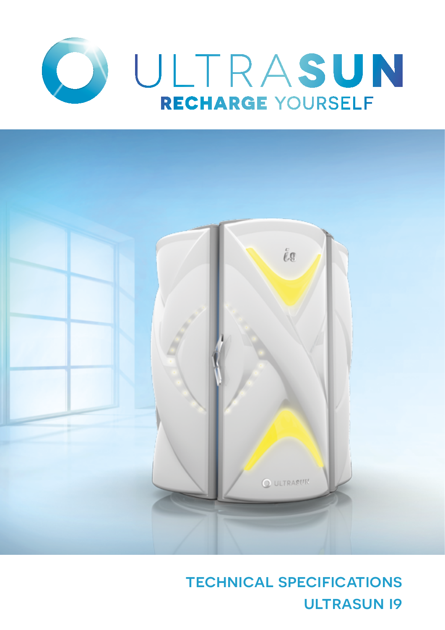



technical specifications **ULTRASUN 19**